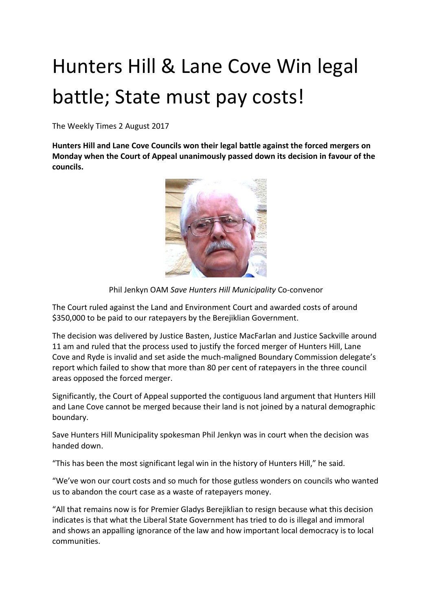## Hunters Hill & Lane Cove Win legal battle; State must pay costs!

The Weekly Times 2 August 2017

**Hunters Hill and Lane Cove Councils won their legal battle against the forced mergers on Monday when the Court of Appeal unanimously passed down its decision in favour of the councils.**



Phil Jenkyn OAM *Save Hunters Hill Municipality* Co-convenor

The Court ruled against the Land and Environment Court and awarded costs of around \$350,000 to be paid to our ratepayers by the Berejiklian Government.

The decision was delivered by Justice Basten, Justice MacFarlan and Justice Sackville around 11 am and ruled that the process used to justify the forced merger of Hunters Hill, Lane Cove and Ryde is invalid and set aside the much-maligned Boundary Commission delegate's report which failed to show that more than 80 per cent of ratepayers in the three council areas opposed the forced merger.

Significantly, the Court of Appeal supported the contiguous land argument that Hunters Hill and Lane Cove cannot be merged because their land is not joined by a natural demographic boundary.

Save Hunters Hill Municipality spokesman Phil Jenkyn was in court when the decision was handed down.

"This has been the most significant legal win in the history of Hunters Hill," he said.

"We've won our court costs and so much for those gutless wonders on councils who wanted us to abandon the court case as a waste of ratepayers money.

"All that remains now is for Premier Gladys Berejiklian to resign because what this decision indicates is that what the Liberal State Government has tried to do is illegal and immoral and shows an appalling ignorance of the law and how important local democracy is to local communities.